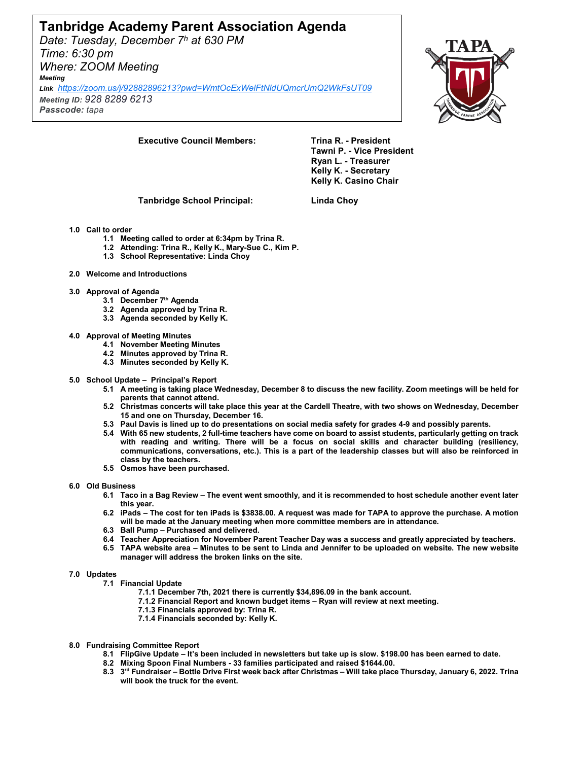# **Tanbridge Academy Parent Association Agenda**

*Date: Tuesday, December 7h at 630 PM Time: 6:30 pm Where: ZOOM Meeting Meeting* 

*Link <https://zoom.us/j/92882896213?pwd=WmtOcExWelFtNldUQmcrUmQ2WkFsUT09> Meeting ID: 928 8289 6213*

*Passcode: tapa*



**Executive Council Members: Trina R. - President** 

**Tawni P. - Vice President Ryan L. - Treasurer Kelly K. - Secretary Kelly K. Casino Chair**

**Tanbridge School Principal: Linda Choy**

## **1.0 Call to order**

- **1.1 Meeting called to order at 6:34pm by Trina R.**
- **1.2 Attending: Trina R., Kelly K., Mary-Sue C., Kim P.**
- **1.3 School Representative: Linda Choy**
- **2.0 Welcome and Introductions**
- **3.0 Approval of Agenda** 
	- **3.1 December 7th Agenda**
	- **3.2 Agenda approved by Trina R.**
	- **3.3 Agenda seconded by Kelly K.**
- **4.0 Approval of Meeting Minutes**
	- **4.1 November Meeting Minutes**
	- **4.2 Minutes approved by Trina R.**
	- **4.3 Minutes seconded by Kelly K.**
- **5.0 School Update – Principal's Report**
	- **5.1 A meeting is taking place Wednesday, December 8 to discuss the new facility. Zoom meetings will be held for parents that cannot attend.**
	- **5.2 Christmas concerts will take place this year at the Cardell Theatre, with two shows on Wednesday, December 15 and one on Thursday, December 16.**
	- **5.3 Paul Davis is lined up to do presentations on social media safety for grades 4-9 and possibly parents.**
	- **5.4 With 65 new students, 2 full-time teachers have come on board to assist students, particularly getting on track with reading and writing. There will be a focus on social skills and character building (resiliency, communications, conversations, etc.). This is a part of the leadership classes but will also be reinforced in class by the teachers.**
	- **5.5 Osmos have been purchased.**
- **6.0 Old Business** 
	- **6.1 Taco in a Bag Review – The event went smoothly, and it is recommended to host schedule another event later this year.**
	- **6.2 iPads – The cost for ten iPads is \$3838.00. A request was made for TAPA to approve the purchase. A motion will be made at the January meeting when more committee members are in attendance.**
	- **6.3 Ball Pump – Purchased and delivered.**
	- **6.4 Teacher Appreciation for November Parent Teacher Day was a success and greatly appreciated by teachers.**
	- **6.5 TAPA website area – Minutes to be sent to Linda and Jennifer to be uploaded on website. The new website manager will address the broken links on the site.**

### **7.0 Updates**

- **7.1 Financial Update**
	- **7.1.1 December 7th, 2021 there is currently \$34,896.09 in the bank account.**
	- **7.1.2 Financial Report and known budget items – Ryan will review at next meeting.**
	- **7.1.3 Financials approved by: Trina R.**
	- **7.1.4 Financials seconded by: Kelly K.**
- **8.0 Fundraising Committee Report** 
	- **8.1 FlipGive Update – It's been included in newsletters but take up is slow. \$198.00 has been earned to date.**
	- **8.2 Mixing Spoon Final Numbers - 33 families participated and raised \$1644.00.**
	- **8.3 3rd Fundraiser – Bottle Drive First week back after Christmas – Will take place Thursday, January 6, 2022. Trina will book the truck for the event.**